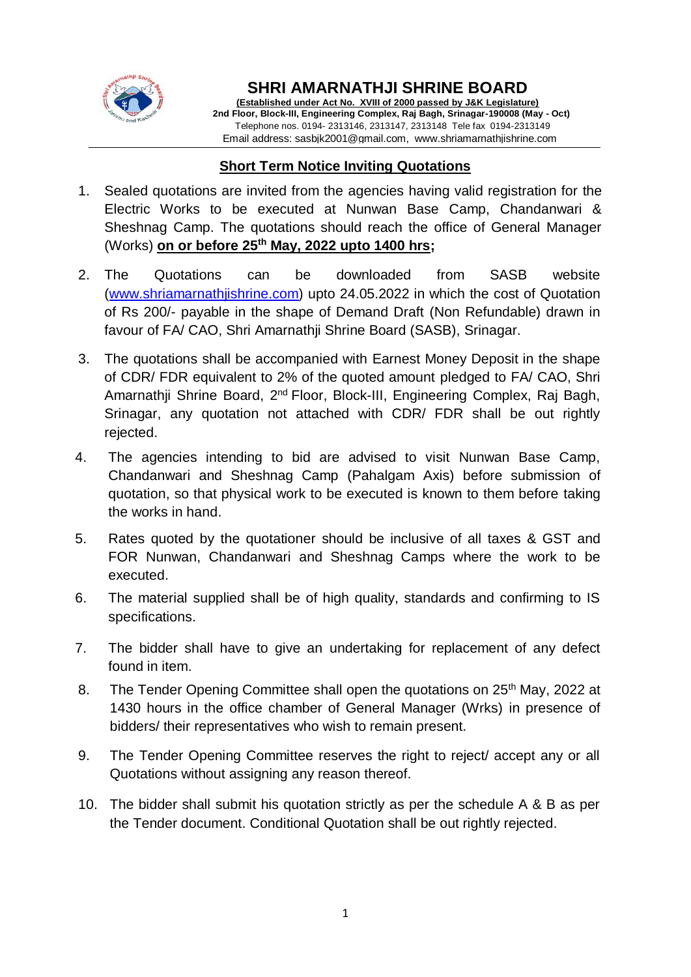

 $\overline{a}$ 

### **SHRI AMARNATHJI SHRINE BOARD**

**(Established under Act No. XVIII of 2000 passed by J&K Legislature) 2nd Floor, Block-III, Engineering Complex, Raj Bagh, Srinagar-190008 (May - Oct)** Telephone nos. 0194- 2313146, 2313147, 2313148 Tele fax 0194-2313149 Email address: sasbjk2001@gmail.com, www.shriamarnathjishrine.com

### **Short Term Notice Inviting Quotations**

- 1. Sealed quotations are invited from the agencies having valid registration for the Electric Works to be executed at Nunwan Base Camp, Chandanwari & Sheshnag Camp. The quotations should reach the office of General Manager (Works) **on or before 25 th May, 2022 upto 1400 hrs;**
- 2. The Quotations can be downloaded from SASB website [\(www.shriamarnathjishrine.com\)](http://www.shriamarnathjishrine.com/) upto 24.05.2022 in which the cost of Quotation of Rs 200/- payable in the shape of Demand Draft (Non Refundable) drawn in favour of FA/ CAO, Shri Amarnathji Shrine Board (SASB), Srinagar.
- 3. The quotations shall be accompanied with Earnest Money Deposit in the shape of CDR/ FDR equivalent to 2% of the quoted amount pledged to FA/ CAO, Shri Amarnathji Shrine Board, 2<sup>nd</sup> Floor, Block-III, Engineering Complex, Raj Bagh, Srinagar, any quotation not attached with CDR/ FDR shall be out rightly rejected.
- 4. The agencies intending to bid are advised to visit Nunwan Base Camp, Chandanwari and Sheshnag Camp (Pahalgam Axis) before submission of quotation, so that physical work to be executed is known to them before taking the works in hand.
- 5. Rates quoted by the quotationer should be inclusive of all taxes & GST and FOR Nunwan, Chandanwari and Sheshnag Camps where the work to be executed.
- 6. The material supplied shall be of high quality, standards and confirming to IS specifications.
- 7. The bidder shall have to give an undertaking for replacement of any defect found in item.
- 8. The Tender Opening Committee shall open the quotations on 25<sup>th</sup> May, 2022 at 1430 hours in the office chamber of General Manager (Wrks) in presence of bidders/ their representatives who wish to remain present.
- 9. The Tender Opening Committee reserves the right to reject/ accept any or all Quotations without assigning any reason thereof.
- 10. The bidder shall submit his quotation strictly as per the schedule A & B as per the Tender document. Conditional Quotation shall be out rightly rejected.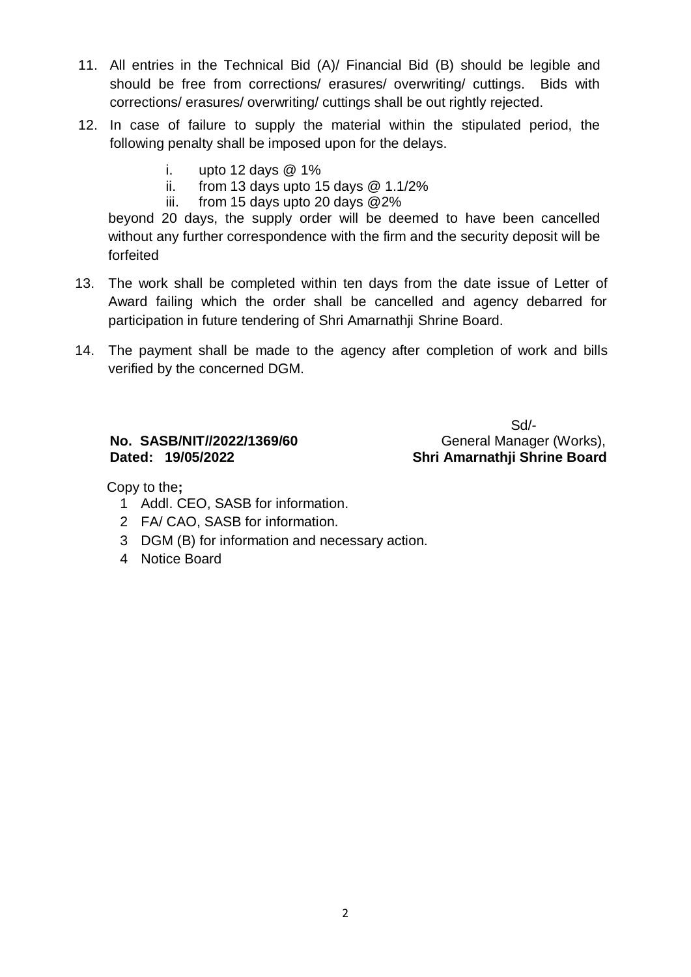- 11. All entries in the Technical Bid (A)/ Financial Bid (B) should be legible and should be free from corrections/ erasures/ overwriting/ cuttings. Bids with corrections/ erasures/ overwriting/ cuttings shall be out rightly rejected.
- 12. In case of failure to supply the material within the stipulated period, the following penalty shall be imposed upon for the delays.
	- i. upto 12 days  $@1\%$
	- ii. from 13 days upto 15 days  $@$  1.1/2%
	- iii. from 15 days upto 20 days @2%

beyond 20 days, the supply order will be deemed to have been cancelled without any further correspondence with the firm and the security deposit will be forfeited

- 13. The work shall be completed within ten days from the date issue of Letter of Award failing which the order shall be cancelled and agency debarred for participation in future tendering of Shri Amarnathji Shrine Board.
- 14. The payment shall be made to the agency after completion of work and bills verified by the concerned DGM.

# **Dated: 19/05/2022 Shri Amarnathji Shrine Board**

 Sd/- **No. SASB/NIT//2022/1369/60** General Manager (Works),

Copy to the**;**

- 1 Addl. CEO, SASB for information.
- 2 FA/ CAO, SASB for information.
- 3 DGM (B) for information and necessary action.
- 4 Notice Board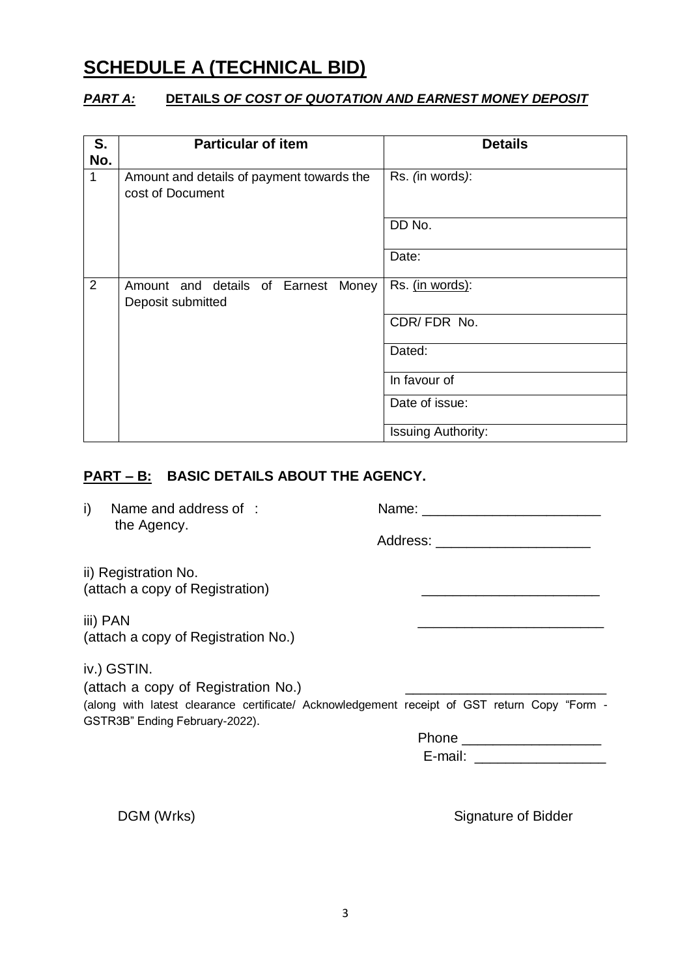## **SCHEDULE A (TECHNICAL BID)**

#### *PART A:* **DETAILS** *OF COST OF QUOTATION AND EARNEST MONEY DEPOSIT*

| S.<br>No. | <b>Particular of item</b>                                     | <b>Details</b>            |  |  |
|-----------|---------------------------------------------------------------|---------------------------|--|--|
| 1         | Amount and details of payment towards the<br>cost of Document | Rs. (in words):           |  |  |
|           |                                                               | DD No.                    |  |  |
|           |                                                               | Date:                     |  |  |
| 2         | Amount and details of Earnest Money<br>Deposit submitted      | Rs. (in words):           |  |  |
|           |                                                               | CDR/FDR No.               |  |  |
|           |                                                               | Dated:                    |  |  |
|           |                                                               | In favour of              |  |  |
|           |                                                               | Date of issue:            |  |  |
|           |                                                               | <b>Issuing Authority:</b> |  |  |

#### **PART – B: BASIC DETAILS ABOUT THE AGENCY.**

i) Name and address of : Name: \_\_\_\_\_\_\_\_\_\_\_\_\_\_\_\_\_\_\_\_\_\_\_ the Agency. Address: ii) Registration No. (attach a copy of Registration) \_\_\_\_\_\_\_\_\_\_\_\_\_\_\_\_\_\_\_\_\_\_\_ iii) PAN \_\_\_\_\_\_\_\_\_\_\_\_\_\_\_\_\_\_\_\_\_\_\_\_ (attach a copy of Registration No.) iv.) GSTIN. (attach a copy of Registration No.) (along with latest clearance certificate/ Acknowledgement receipt of GST return Copy "Form - GSTR3B" Ending February-2022). Phone \_\_\_\_\_\_\_\_\_\_\_\_\_\_\_\_\_\_ E-mail:  $\Box$ 

DGM (Wrks) Signature of Bidder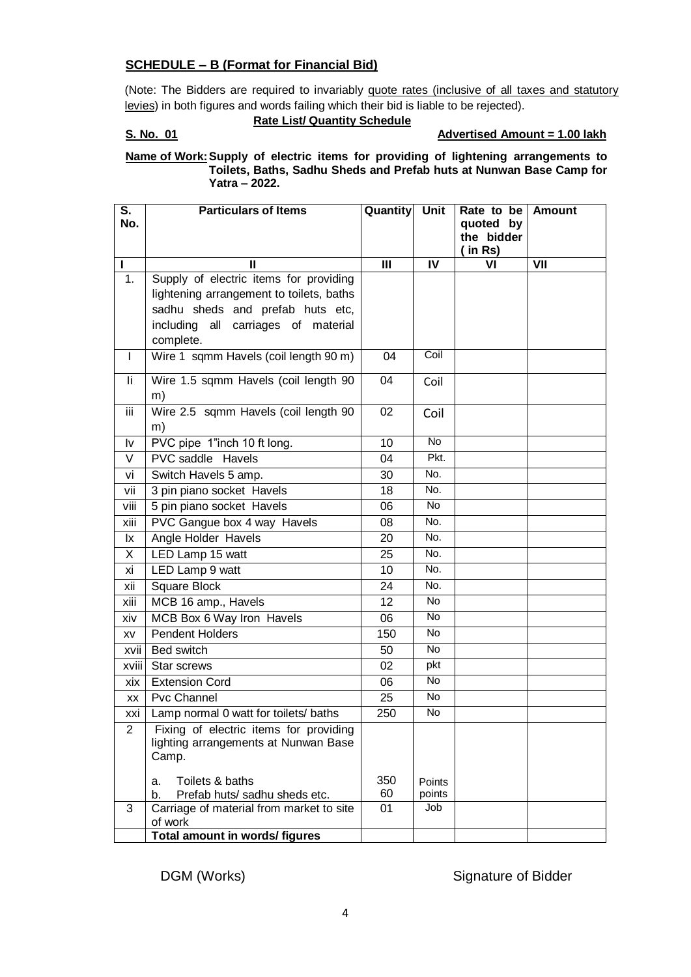#### **SCHEDULE – B (Format for Financial Bid)**

(Note: The Bidders are required to invariably quote rates (inclusive of all taxes and statutory levies) in both figures and words failing which their bid is liable to be rejected).

#### **Rate List/ Quantity Schedule**

#### **S. No. 01 Advertised Amount = 1.00 lakh**

#### **Name of Work:Supply of electric items for providing of lightening arrangements to Toilets, Baths, Sadhu Sheds and Prefab huts at Nunwan Base Camp for Yatra – 2022.**

| S.    | <b>Particulars of Items</b>                         | <b>Quantity</b> | <b>Unit</b> | Rate to be              | <b>Amount</b> |
|-------|-----------------------------------------------------|-----------------|-------------|-------------------------|---------------|
| No.   |                                                     |                 |             | quoted by<br>the bidder |               |
|       |                                                     |                 |             | in Rs)                  |               |
|       | Ш                                                   | III             | IV          | VI                      | VII           |
| 1.    | Supply of electric items for providing              |                 |             |                         |               |
|       | lightening arrangement to toilets, baths            |                 |             |                         |               |
|       | sadhu sheds and prefab huts etc,                    |                 |             |                         |               |
|       | all carriages of material<br>including              |                 |             |                         |               |
|       | complete.                                           |                 |             |                         |               |
| L     | Wire 1 sqmm Havels (coil length 90 m)               | 04              | Coil        |                         |               |
| li.   | Wire 1.5 sqmm Havels (coil length 90<br>m)          | 04              | Coil        |                         |               |
| iii   | Wire 2.5 sqmm Havels (coil length 90                | 02              | Coil        |                         |               |
|       | m)                                                  |                 |             |                         |               |
| I٧    | PVC pipe 1"inch 10 ft long.                         | 10              | No          |                         |               |
| V     | PVC saddle Havels                                   | 04              | Pkt.        |                         |               |
| vi    | Switch Havels 5 amp.                                | 30              | No.         |                         |               |
| vii   | 3 pin piano socket Havels                           | 18              | No.         |                         |               |
| viii  | 5 pin piano socket Havels                           | 06              | No          |                         |               |
| xiii  | PVC Gangue box 4 way Havels                         | 08              | No.         |                         |               |
| lx.   | Angle Holder Havels                                 | 20              | No.         |                         |               |
| X.    | LED Lamp 15 watt                                    | 25              | No.         |                         |               |
| хi    | LED Lamp 9 watt                                     | 10              | No.         |                         |               |
| xii   | Square Block                                        | 24              | No.         |                         |               |
| xiii  | MCB 16 amp., Havels                                 | 12              | <b>No</b>   |                         |               |
| xiv   | MCB Box 6 Way Iron Havels                           | 06              | No          |                         |               |
| XV    | <b>Pendent Holders</b>                              | 150             | <b>No</b>   |                         |               |
| xvii  | Bed switch                                          | 50              | <b>No</b>   |                         |               |
| xviii | Star screws                                         | 02              | pkt         |                         |               |
| xix   | <b>Extension Cord</b>                               | 06              | <b>No</b>   |                         |               |
| XX    | <b>Pvc Channel</b>                                  | 25              | No          |                         |               |
| xxi   | Lamp normal 0 watt for toilets/ baths               | 250             | No          |                         |               |
| 2     | Fixing of electric items for providing              |                 |             |                         |               |
|       | lighting arrangements at Nunwan Base<br>Camp.       |                 |             |                         |               |
|       |                                                     |                 |             |                         |               |
|       | Toilets & baths<br>a.                               | 350             | Points      |                         |               |
|       | b.<br>Prefab huts/ sadhu sheds etc.                 | 60              | points      |                         |               |
| 3     | Carriage of material from market to site<br>of work | 01              | Job         |                         |               |
|       | <b>Total amount in words/ figures</b>               |                 |             |                         |               |
|       |                                                     |                 |             |                         |               |

DGM (Works) Signature of Bidder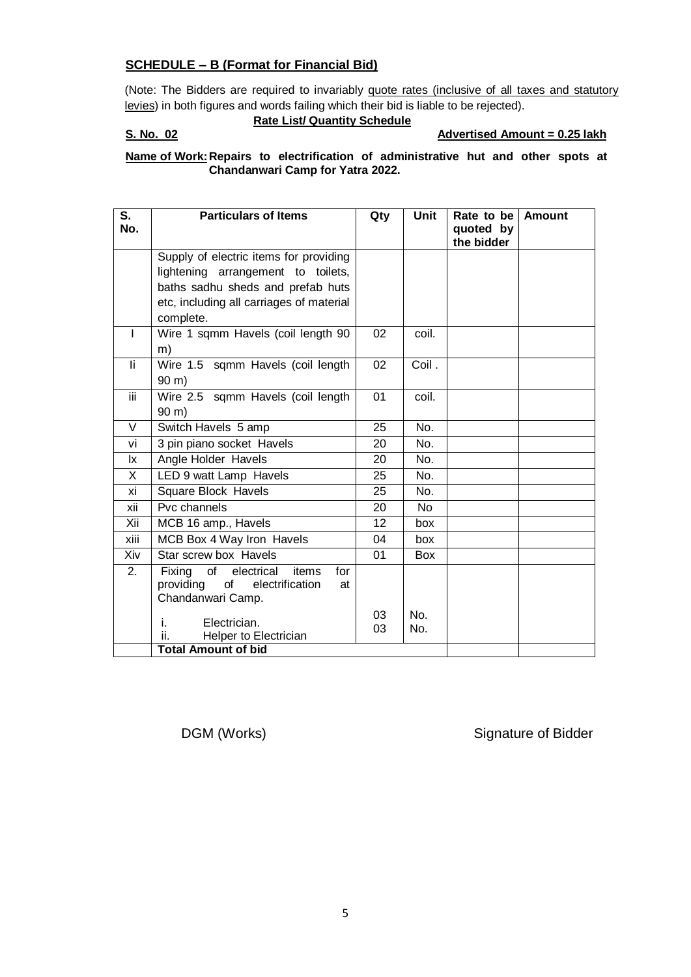#### **SCHEDULE – B (Format for Financial Bid)**

(Note: The Bidders are required to invariably quote rates (inclusive of all taxes and statutory levies) in both figures and words failing which their bid is liable to be rejected).

#### **Rate List/ Quantity Schedule**

#### **S. No. 02 Advertised Amount = 0.25 lakh**

#### **Name of Work: Repairs to electrification of administrative hut and other spots at Chandanwari Camp for Yatra 2022.**

| S.        | <b>Particulars of Items</b>                           | Qty | <b>Unit</b> | Rate to be              | <b>Amount</b> |
|-----------|-------------------------------------------------------|-----|-------------|-------------------------|---------------|
| No.       |                                                       |     |             | quoted by<br>the bidder |               |
|           | Supply of electric items for providing                |     |             |                         |               |
|           | lightening arrangement to toilets,                    |     |             |                         |               |
|           | baths sadhu sheds and prefab huts                     |     |             |                         |               |
|           | etc, including all carriages of material<br>complete. |     |             |                         |               |
| ı         | Wire 1 sqmm Havels (coil length 90                    | 02  | coil.       |                         |               |
|           | m)                                                    |     |             |                         |               |
| li.       | Wire 1.5 sqmm Havels (coil length                     | 02  | Coil.       |                         |               |
|           | $90 \text{ m}$ )                                      |     |             |                         |               |
| iii.      | Wire 2.5 sqmm Havels (coil length                     | 01  | coil.       |                         |               |
|           | $90 \text{ m}$ )                                      |     |             |                         |               |
| V         | Switch Havels 5 amp                                   | 25  | No.         |                         |               |
| vi        | 3 pin piano socket Havels                             | 20  | No.         |                         |               |
| <u>lx</u> | Angle Holder Havels                                   | 20  | No.         |                         |               |
| X.        | LED 9 watt Lamp Havels                                | 25  | No.         |                         |               |
| хi        | <b>Square Block Havels</b>                            | 25  | No.         |                         |               |
| xii       | Pvc channels                                          | 20  | <b>No</b>   |                         |               |
| Xii       | MCB 16 amp., Havels                                   | 12  | box         |                         |               |
| xiii      | MCB Box 4 Way Iron Havels                             | 04  | box         |                         |               |
| Xiv       | Star screw box Havels                                 | 01  | <b>Box</b>  |                         |               |
| 2.        | Fixing<br>of<br>electrical<br>items<br>for            |     |             |                         |               |
|           | providing<br>of<br>electrification<br>at              |     |             |                         |               |
|           | Chandanwari Camp.                                     |     |             |                         |               |
|           | Electrician.<br>i.                                    | 03  | No.         |                         |               |
|           | Helper to Electrician<br>н.                           | 03  | No.         |                         |               |
|           | <b>Total Amount of bid</b>                            |     |             |                         |               |

DGM (Works) Signature of Bidder